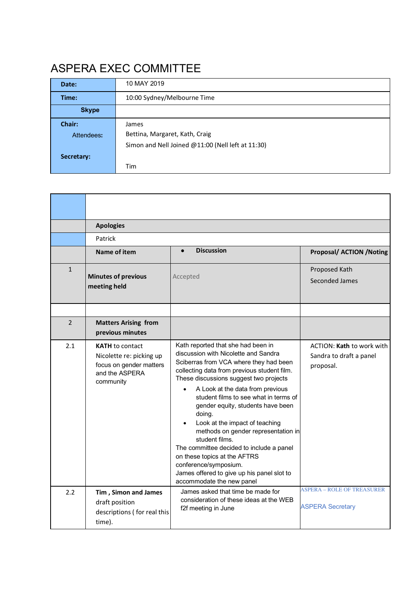# ASPERA EXEC COMMITTEE

| Date:        | 10 MAY 2019                                       |  |
|--------------|---------------------------------------------------|--|
| Time:        | 10:00 Sydney/Melbourne Time                       |  |
| <b>Skype</b> |                                                   |  |
| Chair:       | James                                             |  |
| Attendees:   | Bettina, Margaret, Kath, Craig                    |  |
|              | Simon and Nell Joined @11:00 (Nell left at 11:30) |  |
| Secretary:   |                                                   |  |
|              | Tim                                               |  |

|              | <b>Apologies</b>                                                                                             |                                                                                                                                                                                                                                                                                                                                                                                                                                                                                                                                                                                                                                   |                                                                   |  |
|--------------|--------------------------------------------------------------------------------------------------------------|-----------------------------------------------------------------------------------------------------------------------------------------------------------------------------------------------------------------------------------------------------------------------------------------------------------------------------------------------------------------------------------------------------------------------------------------------------------------------------------------------------------------------------------------------------------------------------------------------------------------------------------|-------------------------------------------------------------------|--|
|              | Patrick                                                                                                      |                                                                                                                                                                                                                                                                                                                                                                                                                                                                                                                                                                                                                                   |                                                                   |  |
|              | Name of item                                                                                                 | <b>Discussion</b><br>$\bullet$                                                                                                                                                                                                                                                                                                                                                                                                                                                                                                                                                                                                    | <b>Proposal/ ACTION /Noting</b>                                   |  |
| $\mathbf{1}$ | <b>Minutes of previous</b><br>meeting held                                                                   | Accepted                                                                                                                                                                                                                                                                                                                                                                                                                                                                                                                                                                                                                          | Proposed Kath<br>Seconded James                                   |  |
| 2            | <b>Matters Arising from</b><br>previous minutes                                                              |                                                                                                                                                                                                                                                                                                                                                                                                                                                                                                                                                                                                                                   |                                                                   |  |
| 2.1          | <b>KATH</b> to contact<br>Nicolette re: picking up<br>focus on gender matters<br>and the ASPERA<br>community | Kath reported that she had been in<br>discussion with Nicolette and Sandra<br>Sciberras from VCA where they had been<br>collecting data from previous student film.<br>These discussions suggest two projects<br>A Look at the data from previous<br>$\bullet$<br>student films to see what in terms of<br>gender equity, students have been<br>doing.<br>Look at the impact of teaching<br>methods on gender representation in<br>student films.<br>The committee decided to include a panel<br>on these topics at the AFTRS<br>conference/symposium.<br>James offered to give up his panel slot to<br>accommodate the new panel | ACTION: Kath to work with<br>Sandra to draft a panel<br>proposal. |  |
| 2.2          | Tim, Simon and James<br>draft position<br>descriptions (for real this<br>time).                              | James asked that time be made for<br>consideration of these ideas at the WEB<br>f2f meeting in June                                                                                                                                                                                                                                                                                                                                                                                                                                                                                                                               | <b>ASPERA – ROLE OF TREASURER</b><br><b>ASPERA Secretary</b>      |  |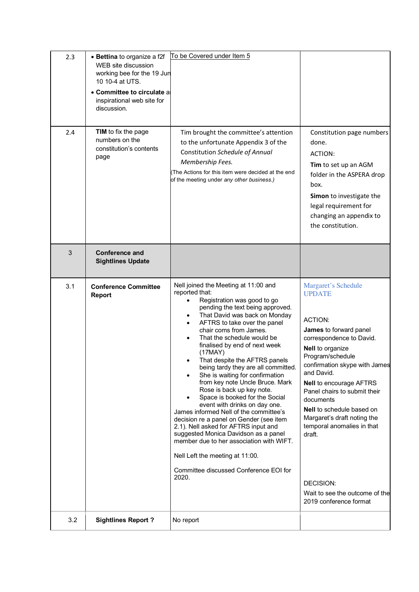| 2.3 | • Bettina to organize a f2f<br>WEB site discussion<br>working bee for the 19 Jun<br>10 10-4 at UTS.<br>• Committee to circulate a<br>inspirational web site for<br>discussion. | To be Covered under Item 5                                                                                                                                                                                                                                                                                                                                                                                                                                                                                                                                                                                                                                                                                                                                                                                                                                       |                                                                                                                                                                                                                                                                                                                                                                                                                                                                        |
|-----|--------------------------------------------------------------------------------------------------------------------------------------------------------------------------------|------------------------------------------------------------------------------------------------------------------------------------------------------------------------------------------------------------------------------------------------------------------------------------------------------------------------------------------------------------------------------------------------------------------------------------------------------------------------------------------------------------------------------------------------------------------------------------------------------------------------------------------------------------------------------------------------------------------------------------------------------------------------------------------------------------------------------------------------------------------|------------------------------------------------------------------------------------------------------------------------------------------------------------------------------------------------------------------------------------------------------------------------------------------------------------------------------------------------------------------------------------------------------------------------------------------------------------------------|
| 2.4 | <b>TIM</b> to fix the page<br>numbers on the<br>constitution's contents<br>page                                                                                                | Tim brought the committee's attention<br>to the unfortunate Appendix 3 of the<br>Constitution Schedule of Annual<br>Membership Fees.<br>The Actions for this item were decided at the end<br>of the meeting under any other business.)                                                                                                                                                                                                                                                                                                                                                                                                                                                                                                                                                                                                                           | Constitution page numbers<br>done.<br><b>ACTION:</b><br>Tim to set up an AGM<br>folder in the ASPERA drop<br>box.<br>Simon to investigate the<br>legal requirement for<br>changing an appendix to<br>the constitution.                                                                                                                                                                                                                                                 |
| 3   | <b>Conference and</b><br><b>Sightlines Update</b>                                                                                                                              |                                                                                                                                                                                                                                                                                                                                                                                                                                                                                                                                                                                                                                                                                                                                                                                                                                                                  |                                                                                                                                                                                                                                                                                                                                                                                                                                                                        |
| 3.1 | <b>Conference Committee</b><br><b>Report</b>                                                                                                                                   | Nell joined the Meeting at 11:00 and<br>reported that:<br>Registration was good to go<br>$\bullet$<br>pending the text being approved.<br>That David was back on Monday<br>AFTRS to take over the panel<br>chair coms from James.<br>That the schedule would be<br>finalised by end of next week<br>(17MAY)<br>That despite the AFTRS panels<br>being tardy they are all committed.<br>She is waiting for confirmation<br>from key note Uncle Bruce. Mark<br>Rose is back up key note.<br>Space is booked for the Social<br>event with drinks on day one.<br>James informed Nell of the committee's<br>decision re a panel on Gender (see item<br>2.1). Nell asked for AFTRS input and<br>suggested Monica Davidson as a panel<br>member due to her association with WIFT.<br>Nell Left the meeting at 11:00.<br>Committee discussed Conference EOI for<br>2020. | Margaret's Schedule<br><b>UPDATE</b><br><b>ACTION:</b><br>James to forward panel<br>correspondence to David.<br>Nell to organize<br>Program/schedule<br>confirmation skype with James<br>and David.<br><b>Nell to encourage AFTRS</b><br>Panel chairs to submit their<br>documents<br><b>Nell</b> to schedule based on<br>Margaret's draft noting the<br>temporal anomalies in that<br>draft.<br>DECISION:<br>Wait to see the outcome of the<br>2019 conference format |
| 3.2 | <b>Sightlines Report?</b>                                                                                                                                                      | No report                                                                                                                                                                                                                                                                                                                                                                                                                                                                                                                                                                                                                                                                                                                                                                                                                                                        |                                                                                                                                                                                                                                                                                                                                                                                                                                                                        |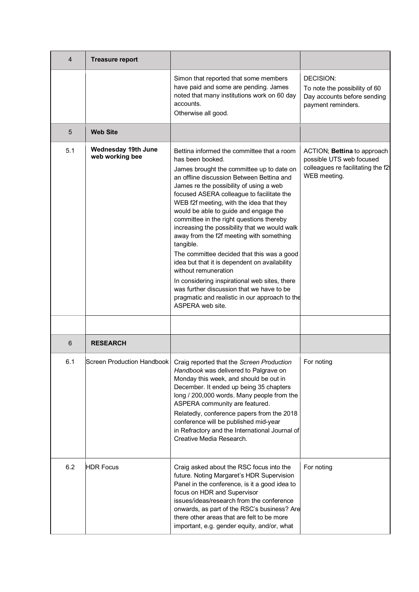| 4   | <b>Treasure report</b>                 |                                                                                                                                                                                                                                                                                                                                                                                                                                                                                                                                                                                                                                                                                                                                                                                        |                                                                                                               |
|-----|----------------------------------------|----------------------------------------------------------------------------------------------------------------------------------------------------------------------------------------------------------------------------------------------------------------------------------------------------------------------------------------------------------------------------------------------------------------------------------------------------------------------------------------------------------------------------------------------------------------------------------------------------------------------------------------------------------------------------------------------------------------------------------------------------------------------------------------|---------------------------------------------------------------------------------------------------------------|
|     |                                        | Simon that reported that some members<br>have paid and some are pending. James<br>noted that many institutions work on 60 day<br>accounts.<br>Otherwise all good.                                                                                                                                                                                                                                                                                                                                                                                                                                                                                                                                                                                                                      | DECISION:<br>To note the possibility of 60<br>Day accounts before sending<br>payment reminders.               |
| 5   | <b>Web Site</b>                        |                                                                                                                                                                                                                                                                                                                                                                                                                                                                                                                                                                                                                                                                                                                                                                                        |                                                                                                               |
| 5.1 | Wednesday 19th June<br>web working bee | Bettina informed the committee that a room<br>has been booked.<br>James brought the committee up to date on<br>an offline discussion Between Bettina and<br>James re the possibility of using a web<br>focused ASERA colleague to facilitate the<br>WEB f2f meeting, with the idea that they<br>would be able to guide and engage the<br>committee in the right questions thereby<br>increasing the possibility that we would walk<br>away from the f2f meeting with something<br>tangible.<br>The committee decided that this was a good<br>idea but that it is dependent on availability<br>without remuneration<br>In considering inspirational web sites, there<br>was further discussion that we have to be<br>pragmatic and realistic in our approach to the<br>ASPERA web site. | ACTION; Bettina to approach<br>possible UTS web focused<br>colleagues re facilitating the f2t<br>WEB meeting. |
| 6   | <b>RESEARCH</b>                        |                                                                                                                                                                                                                                                                                                                                                                                                                                                                                                                                                                                                                                                                                                                                                                                        |                                                                                                               |
| 6.1 |                                        | Screen Production Handbook   Craig reported that the Screen Production<br>Handbook was delivered to Palgrave on<br>Monday this week, and should be out in<br>December. It ended up being 35 chapters<br>long / 200,000 words. Many people from the<br>ASPERA community are featured.<br>Relatedly, conference papers from the 2018<br>conference will be published mid-year<br>in Refractory and the International Journal of<br>Creative Media Research.                                                                                                                                                                                                                                                                                                                              | For noting                                                                                                    |
| 6.2 | <b>HDR Focus</b>                       | Craig asked about the RSC focus into the<br>future. Noting Margaret's HDR Supervision<br>Panel in the conference, is it a good idea to<br>focus on HDR and Supervisor<br>issues/ideas/research from the conference<br>onwards, as part of the RSC's business? Are<br>there other areas that are felt to be more<br>important, e.g. gender equity, and/or, what                                                                                                                                                                                                                                                                                                                                                                                                                         | For noting                                                                                                    |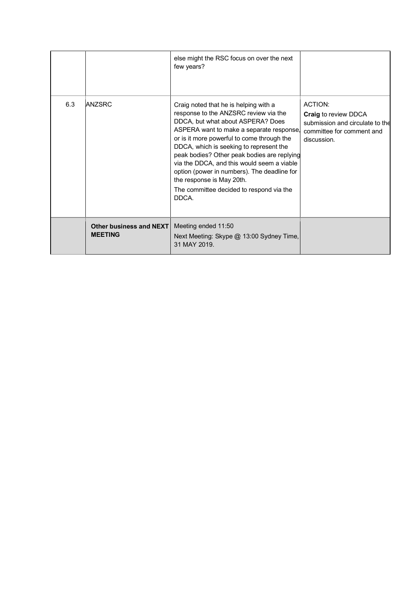|     |                                                  | else might the RSC focus on over the next<br>few years?                                                                                                                                                                                                                                                                                                                                                                                                                                |                                                                                                                              |
|-----|--------------------------------------------------|----------------------------------------------------------------------------------------------------------------------------------------------------------------------------------------------------------------------------------------------------------------------------------------------------------------------------------------------------------------------------------------------------------------------------------------------------------------------------------------|------------------------------------------------------------------------------------------------------------------------------|
| 6.3 | <b>ANZSRC</b>                                    | Craig noted that he is helping with a<br>response to the ANZSRC review via the<br>DDCA, but what about ASPERA? Does<br>ASPERA want to make a separate response.<br>or is it more powerful to come through the<br>DDCA, which is seeking to represent the<br>peak bodies? Other peak bodies are replying<br>via the DDCA, and this would seem a viable<br>option (power in numbers). The deadline for<br>the response is May 20th.<br>The committee decided to respond via the<br>DDCA. | <b>ACTION:</b><br><b>Craig to review DDCA</b><br>submission and circulate to the<br>committee for comment and<br>discussion. |
|     | <b>Other business and NEXT</b><br><b>MEETING</b> | Meeting ended 11:50<br>Next Meeting: Skype @ 13:00 Sydney Time,<br>31 MAY 2019.                                                                                                                                                                                                                                                                                                                                                                                                        |                                                                                                                              |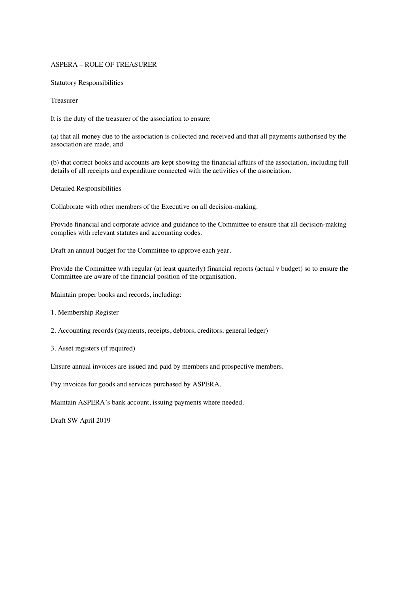#### ASPERA – ROLE OF TREASURER

Statutory Responsibilities

Treasurer

It is the duty of the treasurer of the association to ensure:

(a) that all money due to the association is collected and received and that all payments authorised by the association are made, and

(b) that correct books and accounts are kept showing the financial affairs of the association, including full details of all receipts and expenditure connected with the activities of the association.

Detailed Responsibilities

Collaborate with other members of the Executive on all decision-making.

Provide financial and corporate advice and guidance to the Committee to ensure that all decision-making complies with relevant statutes and accounting codes.

Draft an annual budget for the Committee to approve each year.

Provide the Committee with regular (at least quarterly) financial reports (actual v budget) so to ensure the Committee are aware of the financial position of the organisation.

Maintain proper books and records, including:

- 1. Membership Register
- 2. Accounting records (payments, receipts, debtors, creditors, general ledger)
- 3. Asset registers (if required)

Ensure annual invoices are issued and paid by members and prospective members.

Pay invoices for goods and services purchased by ASPERA.

Maintain ASPERA's bank account, issuing payments where needed.

Draft SW April 2019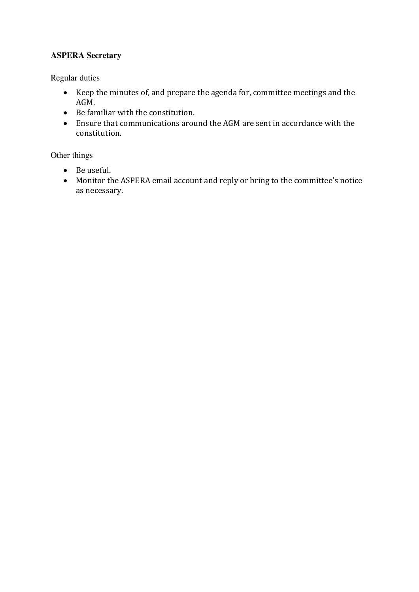# **ASPERA Secretary**

Regular duties

- Keep the minutes of, and prepare the agenda for, committee meetings and the AGM.
- $\bullet$  Be familiar with the constitution.
- Ensure that communications around the AGM are sent in accordance with the constitution.

Other things

- Be useful.
- Monitor the ASPERA email account and reply or bring to the committee's notice as necessary.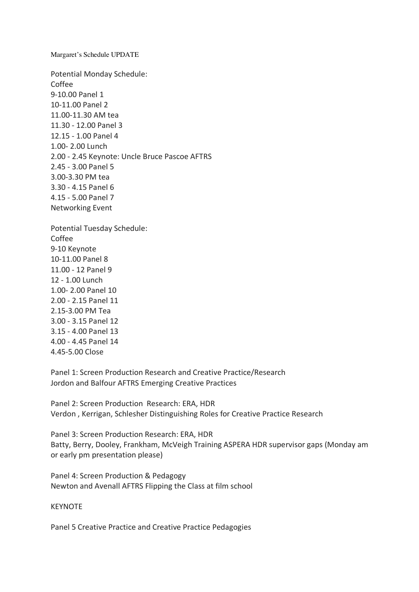Margaret's Schedule UPDATE

Potential Monday Schedule: Coffee 9-10.00 Panel 1 10-11.00 Panel 2 11.00-11.30 AM tea 11.30 - 12.00 Panel 3 12.15 - 1.00 Panel 4 1.00- 2.00 Lunch 2.00 - 2.45 Keynote: Uncle Bruce Pascoe AFTRS 2.45 - 3.00 Panel 5 3.00-3.30 PM tea 3.30 - 4.15 Panel 6 4.15 - 5.00 Panel 7 Networking Event

Potential Tuesday Schedule: Coffee 9-10 Keynote 10-11.00 Panel 8 11.00 - 12 Panel 9 12 - 1.00 Lunch 1.00- 2.00 Panel 10 2.00 - 2.15 Panel 11 2.15-3.00 PM Tea 3.00 - 3.15 Panel 12 3.15 - 4.00 Panel 13 4.00 - 4.45 Panel 14 4.45-5.00 Close

Panel 1: Screen Production Research and Creative Practice/Research Jordon and Balfour AFTRS Emerging Creative Practices

Panel 2: Screen Production Research: ERA, HDR Verdon , Kerrigan, Schlesher Distinguishing Roles for Creative Practice Research

Panel 3: Screen Production Research: ERA, HDR Batty, Berry, Dooley, Frankham, McVeigh Training ASPERA HDR supervisor gaps (Monday am or early pm presentation please)

Panel 4: Screen Production & Pedagogy Newton and Avenall AFTRS Flipping the Class at film school

## KEYNOTE

Panel 5 Creative Practice and Creative Practice Pedagogies